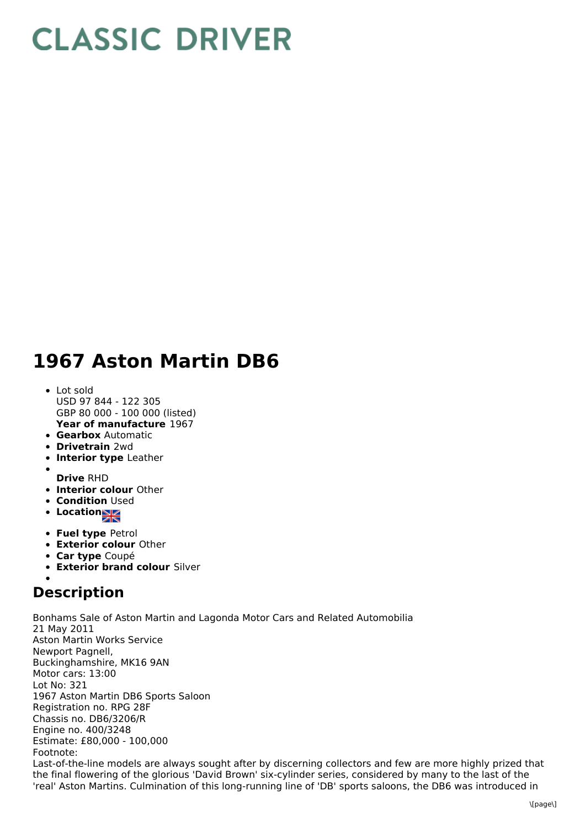## **CLASSIC DRIVER**

## **1967 Aston Martin DB6**

- **Year of manufacture** 1967 • Lot sold USD 97 844 - 122 305 GBP 80 000 - 100 000 (listed)
- **Gearbox** Automatic
- **Drivetrain** 2wd
- **Interior type** Leather
- **Drive** RHD
- **Interior colour** Other
- **Condition Used**
- **Location**
- **Fuel type** Petrol
- **Exterior colour** Other
- **Car type** Coupé
- **Exterior brand colour** Silver

## **Description**

Bonhams Sale of Aston Martin and Lagonda Motor Cars and Related Automobilia 21 May 2011 Aston Martin Works Service Newport Pagnell, Buckinghamshire, MK16 9AN Motor cars: 13:00 Lot No: 321 1967 Aston Martin DB6 Sports Saloon Registration no. RPG 28F Chassis no. DB6/3206/R Engine no. 400/3248 Estimate: £80,000 - 100,000 Footnote: Last-of-the-line models are always sought after by discerning collectors and few are more highly prized that the final flowering of the glorious 'David Brown' six-cylinder series, considered by many to the last of the 'real' Aston Martins. Culmination of this long-running line of 'DB' sports saloons, the DB6 was introduced in